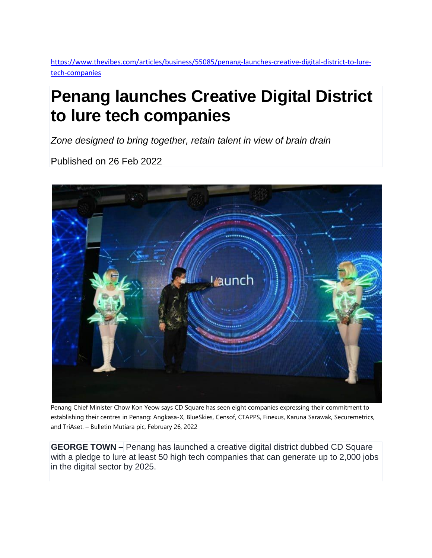[https://www.thevibes.com/articles/business/55085/penang-launches-creative-digital-district-to-lure](https://www.thevibes.com/articles/business/55085/penang-launches-creative-digital-district-to-lure-tech-companies)[tech-companies](https://www.thevibes.com/articles/business/55085/penang-launches-creative-digital-district-to-lure-tech-companies)

## **Penang launches Creative Digital District to lure tech companies**

*Zone designed to bring together, retain talent in view of brain drain*

Published on 26 Feb 2022



Penang Chief Minister Chow Kon Yeow says CD Square has seen eight companies expressing their commitment to establishing their centres in Penang: Angkasa-X, BlueSkies, Censof, CTAPPS, Finexus, Karuna Sarawak, Securemetrics, and TriAset. – Bulletin Mutiara pic, February 26, 2022

**GEORGE TOWN –** Penang has launched a creative digital district dubbed CD Square with a pledge to lure at least 50 high tech companies that can generate up to 2,000 jobs in the digital sector by 2025.